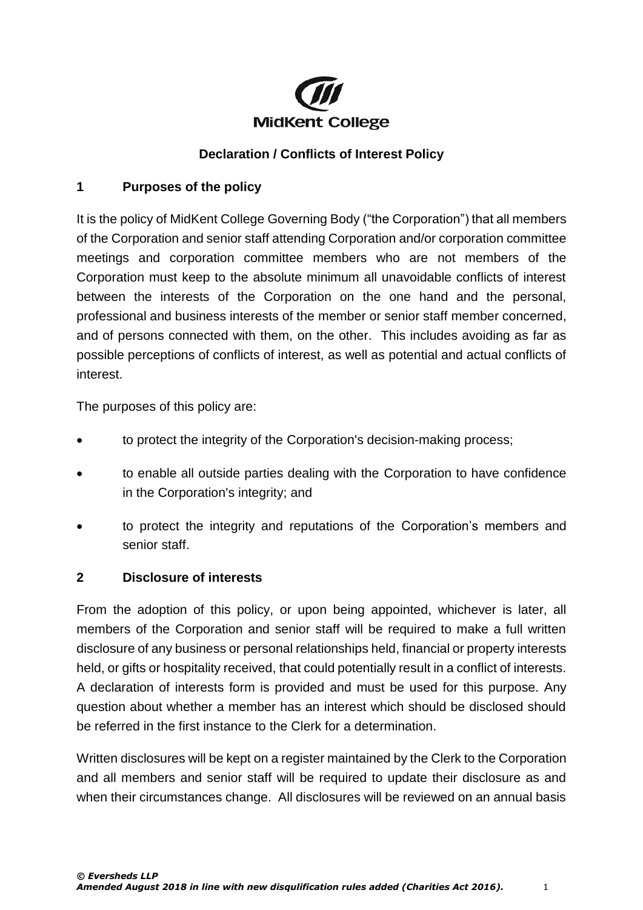

## **Declaration / Conflicts of Interest Policy**

#### **1 Purposes of the policy**

It is the policy of MidKent College Governing Body ("the Corporation") that all members of the Corporation and senior staff attending Corporation and/or corporation committee meetings and corporation committee members who are not members of the Corporation must keep to the absolute minimum all unavoidable conflicts of interest between the interests of the Corporation on the one hand and the personal, professional and business interests of the member or senior staff member concerned, and of persons connected with them, on the other. This includes avoiding as far as possible perceptions of conflicts of interest, as well as potential and actual conflicts of interest.

The purposes of this policy are:

- to protect the integrity of the Corporation's decision-making process;
- to enable all outside parties dealing with the Corporation to have confidence in the Corporation's integrity; and
- to protect the integrity and reputations of the Corporation's members and senior staff.

#### **2 Disclosure of interests**

From the adoption of this policy, or upon being appointed, whichever is later, all members of the Corporation and senior staff will be required to make a full written disclosure of any business or personal relationships held, financial or property interests held, or gifts or hospitality received, that could potentially result in a conflict of interests. A declaration of interests form is provided and must be used for this purpose. Any question about whether a member has an interest which should be disclosed should be referred in the first instance to the Clerk for a determination.

Written disclosures will be kept on a register maintained by the Clerk to the Corporation and all members and senior staff will be required to update their disclosure as and when their circumstances change. All disclosures will be reviewed on an annual basis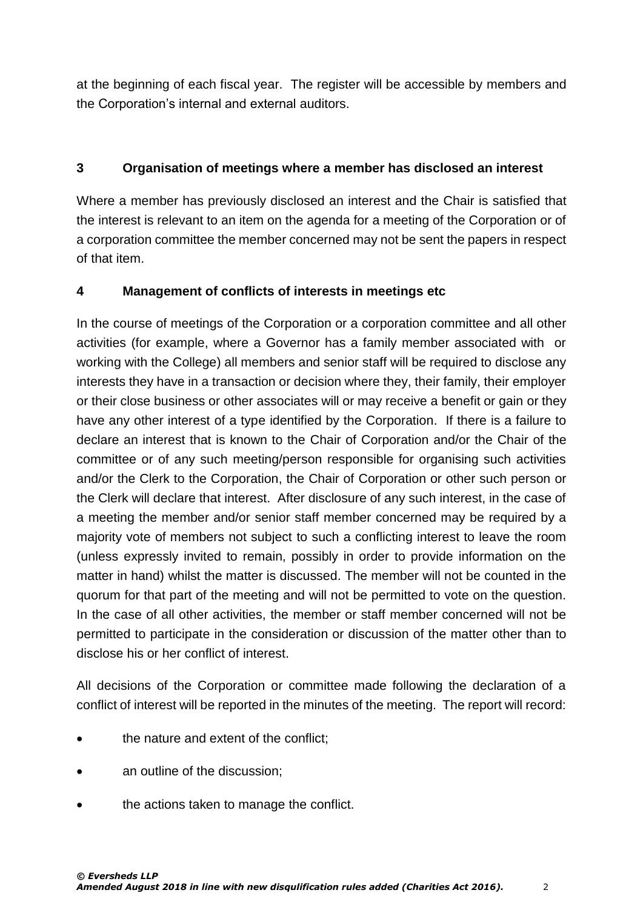at the beginning of each fiscal year. The register will be accessible by members and the Corporation's internal and external auditors.

# **3 Organisation of meetings where a member has disclosed an interest**

Where a member has previously disclosed an interest and the Chair is satisfied that the interest is relevant to an item on the agenda for a meeting of the Corporation or of a corporation committee the member concerned may not be sent the papers in respect of that item.

## **4 Management of conflicts of interests in meetings etc**

In the course of meetings of the Corporation or a corporation committee and all other activities (for example, where a Governor has a family member associated with or working with the College) all members and senior staff will be required to disclose any interests they have in a transaction or decision where they, their family, their employer or their close business or other associates will or may receive a benefit or gain or they have any other interest of a type identified by the Corporation. If there is a failure to declare an interest that is known to the Chair of Corporation and/or the Chair of the committee or of any such meeting/person responsible for organising such activities and/or the Clerk to the Corporation, the Chair of Corporation or other such person or the Clerk will declare that interest. After disclosure of any such interest, in the case of a meeting the member and/or senior staff member concerned may be required by a majority vote of members not subject to such a conflicting interest to leave the room (unless expressly invited to remain, possibly in order to provide information on the matter in hand) whilst the matter is discussed. The member will not be counted in the quorum for that part of the meeting and will not be permitted to vote on the question. In the case of all other activities, the member or staff member concerned will not be permitted to participate in the consideration or discussion of the matter other than to disclose his or her conflict of interest.

All decisions of the Corporation or committee made following the declaration of a conflict of interest will be reported in the minutes of the meeting. The report will record:

- the nature and extent of the conflict;
- an outline of the discussion;
- the actions taken to manage the conflict.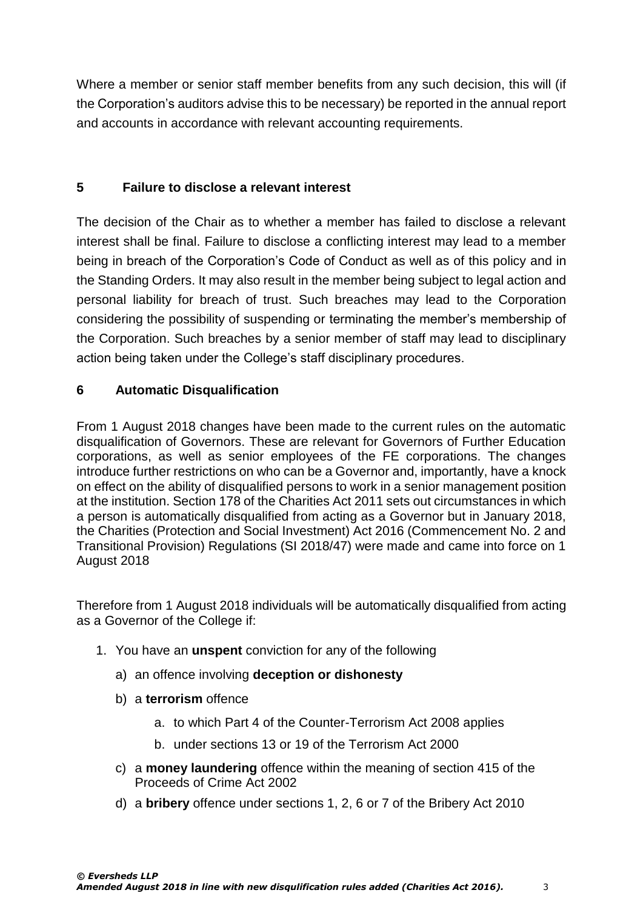Where a member or senior staff member benefits from any such decision, this will (if the Corporation's auditors advise this to be necessary) be reported in the annual report and accounts in accordance with relevant accounting requirements.

## **5 Failure to disclose a relevant interest**

The decision of the Chair as to whether a member has failed to disclose a relevant interest shall be final. Failure to disclose a conflicting interest may lead to a member being in breach of the Corporation's Code of Conduct as well as of this policy and in the Standing Orders. It may also result in the member being subject to legal action and personal liability for breach of trust. Such breaches may lead to the Corporation considering the possibility of suspending or terminating the member's membership of the Corporation. Such breaches by a senior member of staff may lead to disciplinary action being taken under the College's staff disciplinary procedures.

## **6 Automatic Disqualification**

From 1 August 2018 changes have been made to the current rules on the automatic disqualification of Governors. These are relevant for Governors of Further Education corporations, as well as senior employees of the FE corporations. The changes introduce further restrictions on who can be a Governor and, importantly, have a knock on effect on the ability of disqualified persons to work in a senior management position at the institution. Section 178 of the Charities Act 2011 sets out circumstances in which a person is automatically disqualified from acting as a Governor but in January 2018, the Charities (Protection and Social Investment) Act 2016 (Commencement No. 2 and Transitional Provision) Regulations (SI 2018/47) were made and came into force on 1 August 2018

Therefore from 1 August 2018 individuals will be automatically disqualified from acting as a Governor of the College if:

- 1. You have an **unspent** conviction for any of the following
	- a) an offence involving **deception or dishonesty**
	- b) a **terrorism** offence
		- a. to which Part 4 of the Counter-Terrorism Act 2008 applies
		- b. under sections 13 or 19 of the Terrorism Act 2000
	- c) a **money laundering** offence within the meaning of section 415 of the Proceeds of Crime Act 2002
	- d) a **bribery** offence under sections 1, 2, 6 or 7 of the Bribery Act 2010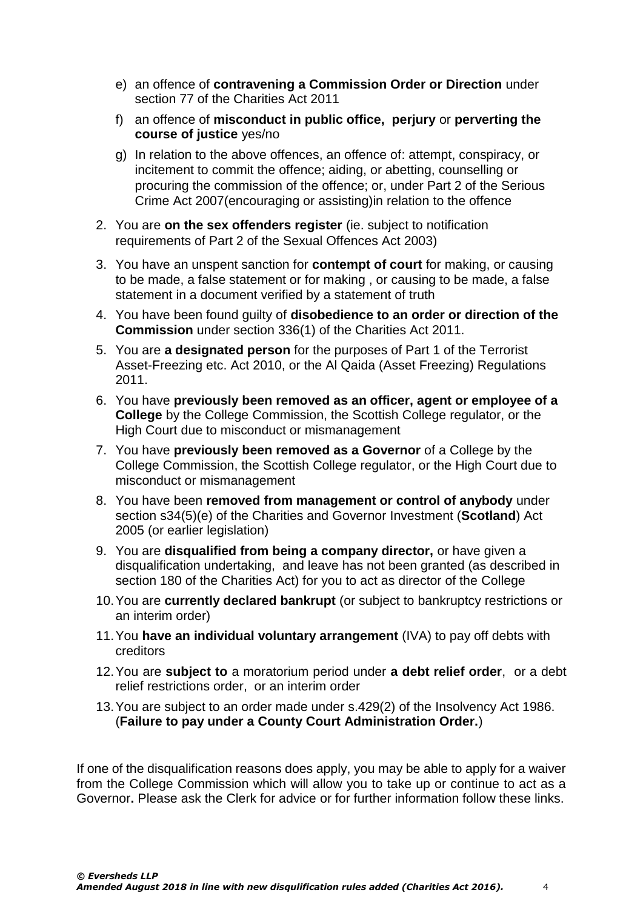- e) an offence of **contravening a Commission Order or Direction** under section 77 of the Charities Act 2011
- f) an offence of **misconduct in public office, perjury** or **perverting the course of justice** yes/no
- g) In relation to the above offences, an offence of: attempt, conspiracy, or incitement to commit the offence; aiding, or abetting, counselling or procuring the commission of the offence; or, under Part 2 of the Serious Crime Act 2007(encouraging or assisting)in relation to the offence
- 2. You are **on the sex offenders register** (ie. subject to notification requirements of Part 2 of the Sexual Offences Act 2003)
- 3. You have an unspent sanction for **contempt of court** for making, or causing to be made, a false statement or for making , or causing to be made, a false statement in a document verified by a statement of truth
- 4. You have been found guilty of **disobedience to an order or direction of the Commission** under section 336(1) of the Charities Act 2011.
- 5. You are **a designated person** for the purposes of Part 1 of the Terrorist Asset-Freezing etc. Act 2010, or the Al Qaida (Asset Freezing) Regulations 2011.
- 6. You have **previously been removed as an officer, agent or employee of a College** by the College Commission, the Scottish College regulator, or the High Court due to misconduct or mismanagement
- 7. You have **previously been removed as a Governor** of a College by the College Commission, the Scottish College regulator, or the High Court due to misconduct or mismanagement
- 8. You have been **removed from management or control of anybody** under section s34(5)(e) of the Charities and Governor Investment (**Scotland**) Act 2005 (or earlier legislation)
- 9. You are **disqualified from being a company director,** or have given a disqualification undertaking, and leave has not been granted (as described in section 180 of the Charities Act) for you to act as director of the College
- 10.You are **currently declared bankrupt** (or subject to bankruptcy restrictions or an interim order)
- 11.You **have an individual voluntary arrangement** (IVA) to pay off debts with creditors
- 12.You are **subject to** a moratorium period under **a debt relief order**, or a debt relief restrictions order, or an interim order
- 13.You are subject to an order made under s.429(2) of the Insolvency Act 1986. (**Failure to pay under a County Court Administration Order.**)

If one of the disqualification reasons does apply, you may be able to apply for a waiver from the College Commission which will allow you to take up or continue to act as a Governor**.** Please ask the Clerk for advice or for further information follow these links.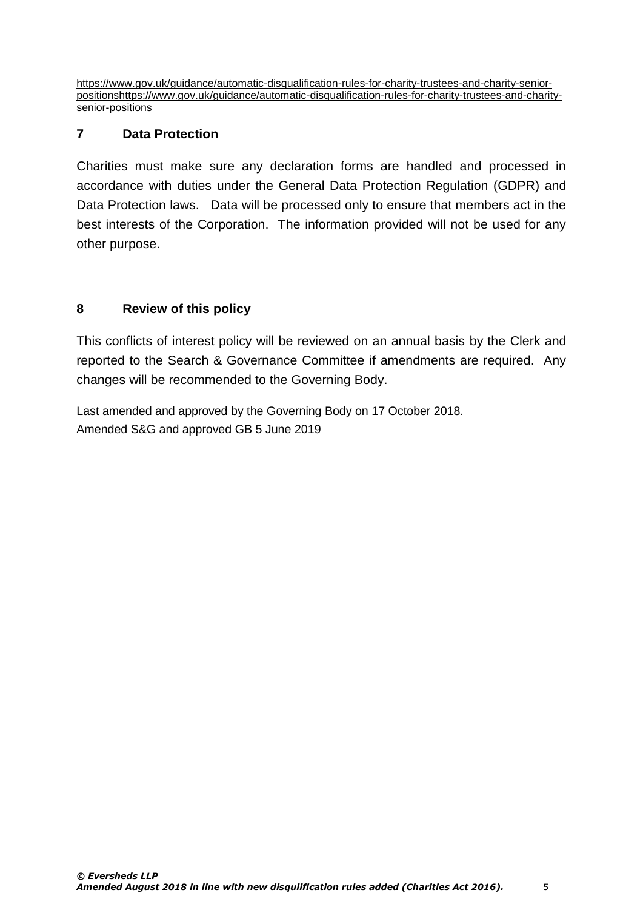[https://www.gov.uk/guidance/automatic-disqualification-rules-for-charity-trustees-and-charity-senior](https://www.gov.uk/guidance/automatic-disqualification-rules-for-charity-trustees-and-charity-senior-positions)[positionshttps://www.gov.uk/guidance/automatic-disqualification-rules-for-charity-trustees-and-charity](https://www.gov.uk/guidance/automatic-disqualification-rules-for-charity-trustees-and-charity-senior-positions)[senior-positions](https://www.gov.uk/guidance/automatic-disqualification-rules-for-charity-trustees-and-charity-senior-positions)

## **7 Data Protection**

Charities must make sure any declaration forms are handled and processed in accordance with duties under the General Data Protection Regulation (GDPR) and Data Protection laws. Data will be processed only to ensure that members act in the best interests of the Corporation. The information provided will not be used for any other purpose.

# **8 Review of this policy**

This conflicts of interest policy will be reviewed on an annual basis by the Clerk and reported to the Search & Governance Committee if amendments are required. Any changes will be recommended to the Governing Body.

Last amended and approved by the Governing Body on 17 October 2018. Amended S&G and approved GB 5 June 2019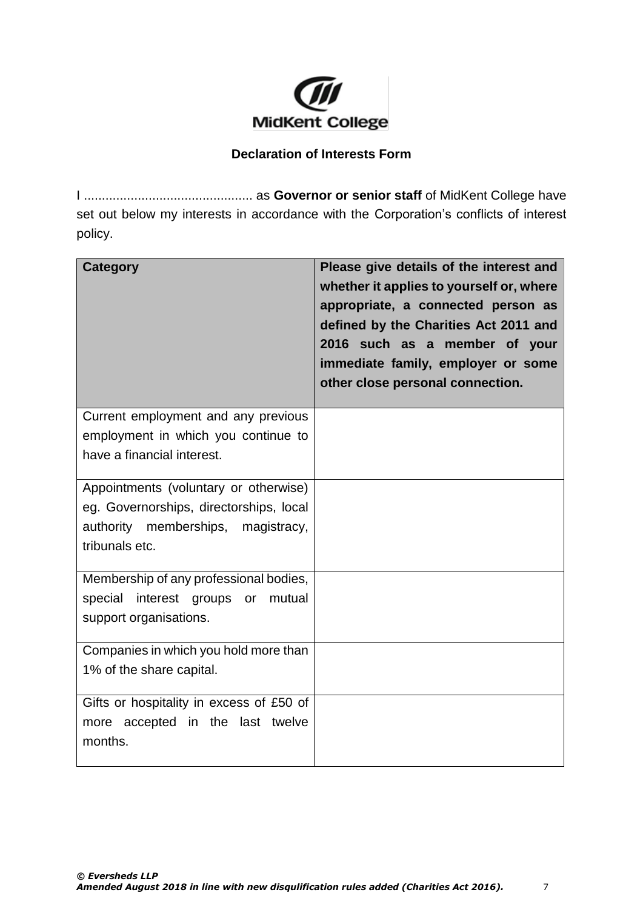

#### **Declaration of Interests Form**

I ............................................... as **Governor or senior staff** of MidKent College have set out below my interests in accordance with the Corporation's conflicts of interest policy.

| <b>Category</b>                            | Please give details of the interest and<br>whether it applies to yourself or, where<br>appropriate, a connected person as<br>defined by the Charities Act 2011 and<br>2016 such as a member of your<br>immediate family, employer or some<br>other close personal connection. |
|--------------------------------------------|-------------------------------------------------------------------------------------------------------------------------------------------------------------------------------------------------------------------------------------------------------------------------------|
| Current employment and any previous        |                                                                                                                                                                                                                                                                               |
| employment in which you continue to        |                                                                                                                                                                                                                                                                               |
| have a financial interest.                 |                                                                                                                                                                                                                                                                               |
| Appointments (voluntary or otherwise)      |                                                                                                                                                                                                                                                                               |
| eg. Governorships, directorships, local    |                                                                                                                                                                                                                                                                               |
| authority memberships, magistracy,         |                                                                                                                                                                                                                                                                               |
| tribunals etc.                             |                                                                                                                                                                                                                                                                               |
| Membership of any professional bodies,     |                                                                                                                                                                                                                                                                               |
| mutual<br>special<br>interest groups<br>or |                                                                                                                                                                                                                                                                               |
| support organisations.                     |                                                                                                                                                                                                                                                                               |
| Companies in which you hold more than      |                                                                                                                                                                                                                                                                               |
| 1% of the share capital.                   |                                                                                                                                                                                                                                                                               |
| Gifts or hospitality in excess of £50 of   |                                                                                                                                                                                                                                                                               |
| more accepted in the last twelve           |                                                                                                                                                                                                                                                                               |
| months.                                    |                                                                                                                                                                                                                                                                               |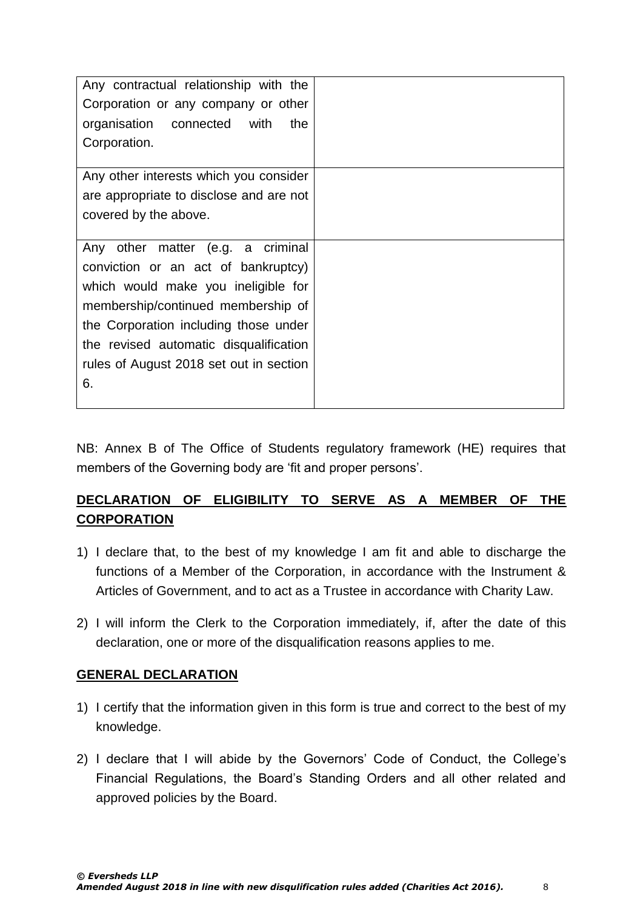| Any contractual relationship with the<br>Corporation or any company or other<br>organisation connected<br>with<br>the<br>Corporation. |  |
|---------------------------------------------------------------------------------------------------------------------------------------|--|
| Any other interests which you consider                                                                                                |  |
| are appropriate to disclose and are not                                                                                               |  |
| covered by the above.                                                                                                                 |  |
| Any other matter (e.g. a criminal                                                                                                     |  |
| conviction or an act of bankruptcy)                                                                                                   |  |
| which would make you ineligible for                                                                                                   |  |
| membership/continued membership of                                                                                                    |  |
| the Corporation including those under                                                                                                 |  |
| the revised automatic disqualification                                                                                                |  |
| rules of August 2018 set out in section                                                                                               |  |
| 6.                                                                                                                                    |  |

NB: Annex B of The Office of Students regulatory framework (HE) requires that members of the Governing body are 'fit and proper persons'.

# **DECLARATION OF ELIGIBILITY TO SERVE AS A MEMBER OF THE CORPORATION**

- 1) I declare that, to the best of my knowledge I am fit and able to discharge the functions of a Member of the Corporation, in accordance with the Instrument & Articles of Government, and to act as a Trustee in accordance with Charity Law.
- 2) I will inform the Clerk to the Corporation immediately, if, after the date of this declaration, one or more of the disqualification reasons applies to me.

#### **GENERAL DECLARATION**

- 1) I certify that the information given in this form is true and correct to the best of my knowledge.
- 2) I declare that I will abide by the Governors' Code of Conduct, the College's Financial Regulations, the Board's Standing Orders and all other related and approved policies by the Board.